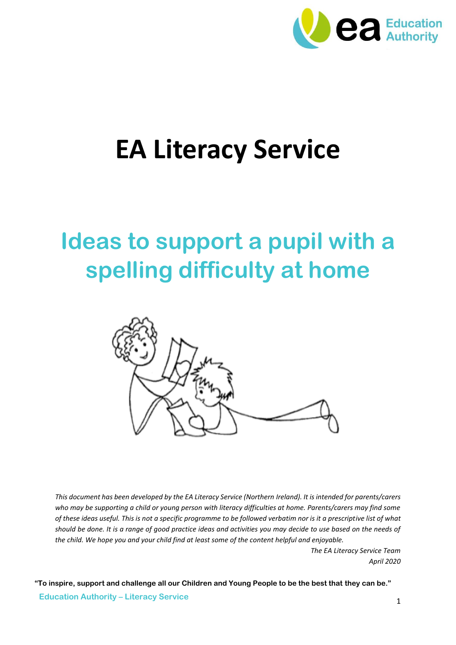

# **EA Literacy Service**

## **Ideas to support a pupil with a spelling difficulty at home**



*This document has been developed by the EA Literacy Service (Northern Ireland). It is intended for parents/carers*  who may be supporting a child or young person with literacy difficulties at home. Parents/carers may find some *of these ideas useful. This is not a specific programme to be followed verbatim nor is it a prescriptive list of what should be done. It is a range of good practice ideas and activities you may decide to use based on the needs of the child. We hope you and your child find at least some of the content helpful and enjoyable.*

> *The EA Literacy Service Team April 2020*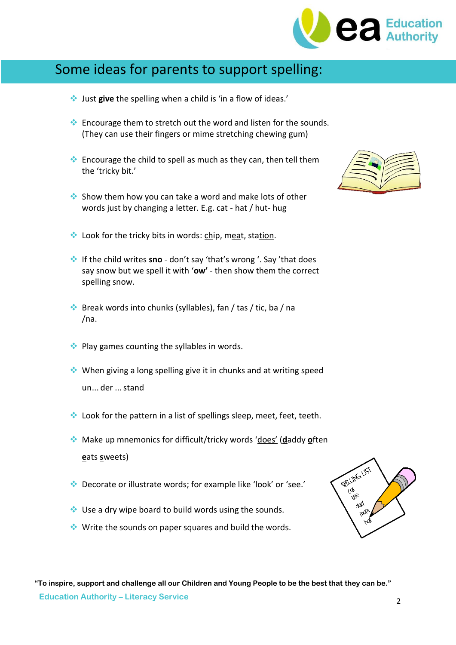

### Some ideas for parents to support spelling:

- Just **give** the spelling when a child is 'in a flow of ideas.'
- $\cdot$  Encourage them to stretch out the word and listen for the sounds. (They can use their fingers or mime stretching chewing gum)
- $\cdot$  Encourage the child to spell as much as they can, then tell them the 'tricky bit.'
- Show them how you can take a word and make lots of other words just by changing a letter. E.g. cat - hat / hut- hug
- **Look for the tricky bits in words: chip, meat, station.**
- If the child writes **sno** don't say 'that's wrong '. Say 'that does say snow but we spell it with '**ow'** - then show them the correct spelling snow.
- $\bullet\bullet$  Break words into chunks (syllables), fan / tas / tic, ba / na /na.
- $\bullet\bullet$  Play games counting the syllables in words.
- $\cdot$  When giving a long spelling give it in chunks and at writing speed un... der ...stand
- $\cdot$  Look for the pattern in a list of spellings sleep, meet, feet, teeth.
- Make up mnemonics for difficult/tricky words 'does' (**d**addy **o**ften **e**ats **s**weets)
- Decorate or illustrate words; for example like 'look' or 'see.'
- $\cdot$  Use a dry wipe board to build words using the sounds.
- Write the sounds on paper squares and build the words.



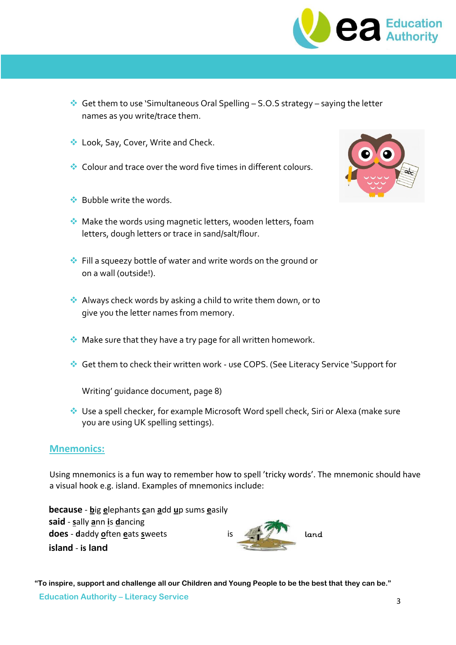

- Get them to use 'Simultaneous Oral Spelling  $-$  S.O.S strategy  $-$  saying the letter names as you write/trace them.
- ◆ Look, Say, Cover, Write and Check.
- Colour and trace over the word five times in different colours.
- **◆ Bubble write the words.**
- Make the words using magnetic letters, wooden letters, foam letters, dough letters or trace in sand/salt/flour.
- Fill a squeezy bottle of water and write words on the ground or on a wall (outside!).
- Always check words by asking a child to write them down, or to give you the letter names from memory.
- Make sure that they have a try page for all written homework.
- Get them to check their written work use COPS. (See Literacy Service 'Support for

Writing' guidance document, page 8)

 Use a spell checker, for example Microsoft Word spell check, Siri or Alexa (make sure you are using UK spelling settings).

#### **Mnemonics:**

Using mnemonics is a fun way to remember how to spell 'tricky words'. The mnemonic should have a visual hook e.g. island. Examples of mnemonics include:

**because** - **b**ig **e**lephants **c**an **a**dd **u**p sums **e**asily **said** - **s**ally **a**nn **i**s **d**ancing **does** - **d**addy **o**ften **e**ats **s**weets is **island** - **is land**



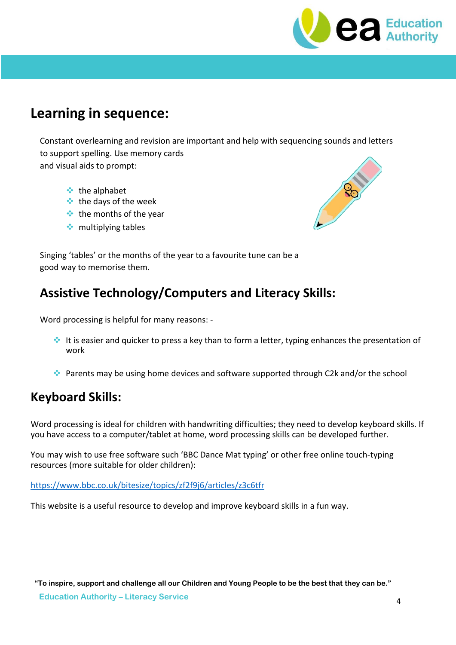

### **Learning in sequence:**

Constant overlearning and revision are important and help with sequencing sounds and letters to support spelling. Use memory cards and visual aids to prompt:

- $\cdot \cdot$  the alphabet
- $\cdot$  the days of the week
- $\cdot$  the months of the year
- $\cdot$  multiplying tables



Singing 'tables' or the months of the year to a favourite tune can be a good way to memorise them.

#### **Assistive Technology/Computers and Literacy Skills:**

Word processing is helpful for many reasons: -

- It is easier and quicker to press a key than to form a letter, typing enhances the presentation of work
- Parents may be using home devices and software supported through C2k and/or the school

#### **Keyboard Skills:**

Word processing is ideal for children with handwriting difficulties; they need to develop keyboard skills. If you have access to a computer/tablet at home, word processing skills can be developed further.

You may wish to use free software such 'BBC Dance Mat typing' or other free online touch-typing resources (more suitable for older children):

<https://www.bbc.co.uk/bitesize/topics/zf2f9j6/articles/z3c6tfr>

This website is a useful resource to develop and improve keyboard skills in a fun way.